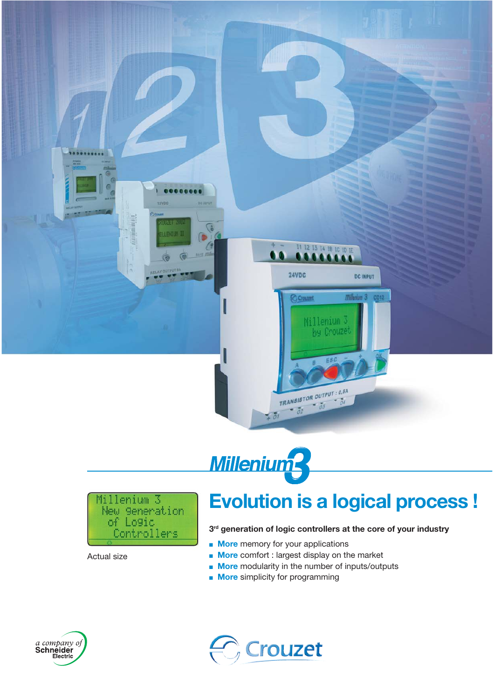





Actual size

### **Evolution is a logical process !**

### **3rd generation of logic controllers at the core of your industry**

- **More** memory for your applications
- **More** comfort : largest display on the market
- **More** modularity in the number of inputs/outputs
- **More** simplicity for programming



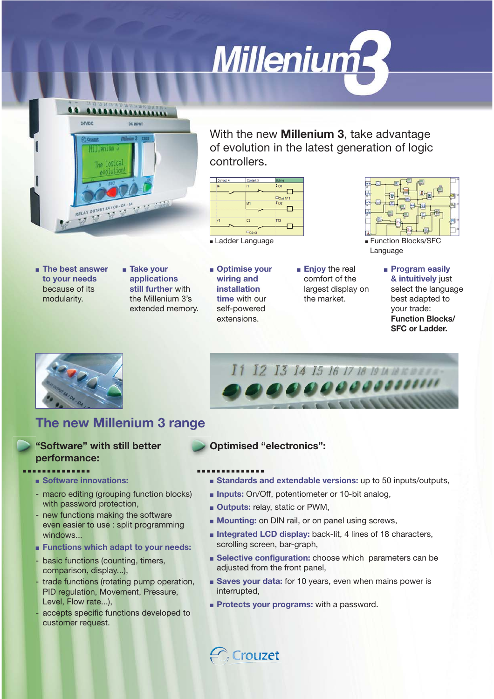



With the new **Millenium 3**, take advantage of evolution in the latest generation of logic controllers.

> ■ **Enjoy** the real comfort of the largest display on the market.



■ Ladder Language ■ ■ Function Blocks/SFC

- **The best answer to your needs**  because of its modularity.
- **Take your applications still further** with the Millenium 3's extended memory.
- **Optimise your wiring and installation time** with our self-powered extensions.

Language

■ **Program easily & intuitively** just select the language best adapted to your trade: **Function Blocks/ SFC or Ladder.**



### I1 12 13 14 15 16 17 18 19 14 18 КОВЕК. 000000000000 the second control of the Second Control in the U.S. of the U.S. of the U.S. of the U.S. of the U.S. of the U.S. of the U.S. of the U.S. of the U.S. of the U.S. of the U.S. of the U.S. of the U.S. of the U.S. of the U.S. o

### **The new Millenium 3 range**

### **"Software" with still better performance: .............. ..............**

- ■ **Software innovations:**
- macro editing (grouping function blocks) with password protection,
- new functions making the software even easier to use : split programming windows...
- ■ **Functions which adapt to your needs:**
- basic functions (counting, timers, comparison, display...),
- trade functions (rotating pump operation, PID regulation, Movement, Pressure, Level, Flow rate...),
- accepts specific functions developed to customer request.

### **Optimised "electronics":**

- 
- **Standards and extendable versions:** up to 50 inputs/outputs,
- **Inputs:** On/Off, potentiometer or 10-bit analog,
- **Outputs:** relay, static or PWM,
- **Mounting:** on DIN rail, or on panel using screws,
- **Integrated LCD display:** back-lit, 4 lines of 18 characters, scrolling screen, bar-graph,
- **Belective configuration:** choose which parameters can be adjusted from the front panel,
- **Saves your data:** for 10 years, even when mains power is interrupted,
- **Protects your programs:** with a password.

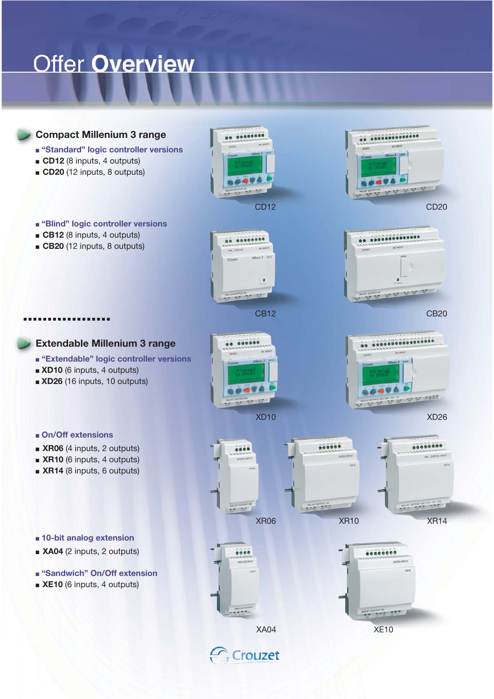## **Offer Overview**

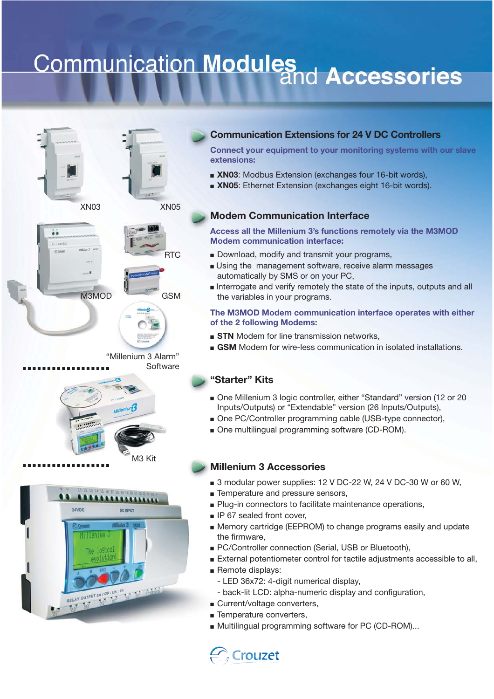# **Communication Modules**<br>and Accessories









"Millenium 3 Alarm" **Software** 



M3MOD



### **Communication Extensions for 24 V DC Controllers**

**Connect your equipment to your monitoring systems with our slave extensions:**

- **XN03:** Modbus Extension (exchanges four 16-bit words),
- ■ **XN05**: Ethernet Extension (exchanges eight 16-bit words).

### **Modem Communication Interface**

**Access all the Millenium 3's functions remotely via the M3MOD Modem communication interface:** 

- Download, modify and transmit your programs,
- Using the management software, receive alarm messages automatically by SMS or on your PC,
- Interrogate and verify remotely the state of the inputs, outputs and all the variables in your programs.

### **The M3MOD Modem communication interface operates with either of the 2 following Modems:**

- **STN** Modem for line transmission networks,
- GSM Modem for wire-less communication in isolated installations.

### **"Starter" Kits**

- One Millenium 3 logic controller, either "Standard" version (12 or 20 Inputs/Outputs) or "Extendable" version (26 Inputs/Outputs),
- One PC/Controller programming cable (USB-type connector),
- One multilingual programming software (CD-ROM).

### **Millenium 3 Accessories**

- 3 modular power supplies: 12 V DC-22 W, 24 V DC-30 W or 60 W,
- Temperature and pressure sensors,
- Plug-in connectors to facilitate maintenance operations,
- IP 67 sealed front cover,
- Memory cartridge (EEPROM) to change programs easily and update the firmware,
- PC/Controller connection (Serial, USB or Bluetooth),
- External potentiometer control for tactile adjustments accessible to all,
- Remote displays:
	- LED 36x72: 4-digit numerical display,
	- back-lit LCD: alpha-numeric display and configuration,
- Current/voltage converters,
- Temperature converters,
- Multilingual programming software for PC (CD-ROM)...

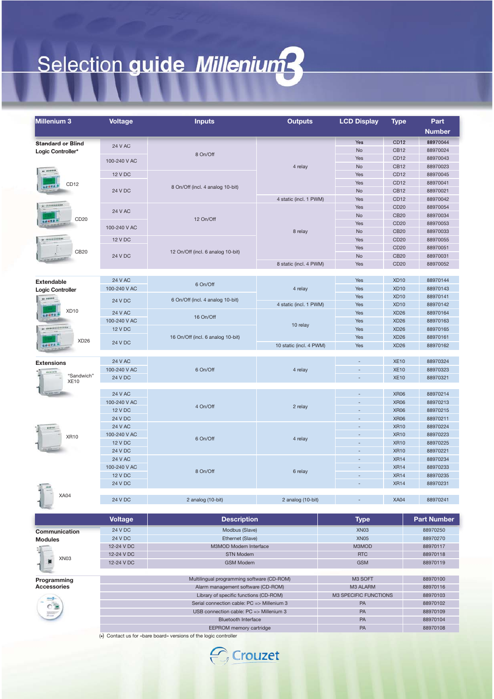# Selection guide Millenium?

| <b>Standard or Blind</b><br><b>24 V AC</b>                                           | Yes                               |                            |                      |
|--------------------------------------------------------------------------------------|-----------------------------------|----------------------------|----------------------|
|                                                                                      |                                   |                            | <b>Number</b>        |
|                                                                                      |                                   | <b>CD12</b>                | 88970044             |
| Logic Controller*<br>8 On/Off                                                        | No                                | <b>CB12</b>                | 88970024             |
| 100-240 V AC                                                                         | Yes                               | CD12                       | 88970043             |
| 4 relay<br>                                                                          | No                                | <b>CB12</b>                | 88970023             |
| <b>12 V DC</b>                                                                       | Yes                               | CD <sub>12</sub>           | 88970045             |
| CD <sub>12</sub><br><b>SONTA</b><br>8 On/Off (incl. 4 analog 10-bit)                 | Yes                               | CD12                       | 88970041             |
| <b>24 V DC</b>                                                                       | <b>No</b>                         | <b>CB12</b>                | 88970021             |
| 4 static (incl. 1 PWM)<br>** **************                                          | Yes<br>Yes                        | CD12<br>CD20               | 88970042<br>88970054 |
| <b>24 V AC</b>                                                                       | No                                | <b>CB20</b>                | 88970034             |
| CD20<br>12 On/Off                                                                    | Yes                               | CD <sub>20</sub>           | 88970053             |
| 100-240 V AC<br>8 relay                                                              | <b>No</b>                         | <b>CB20</b>                | 88970033             |
| ** **************<br><b>12 V DC</b>                                                  | Yes                               | CD <sub>20</sub>           | 88970055             |
|                                                                                      | Yes                               | CD <sub>20</sub>           | 88970051             |
| CB20<br>12 On/Off (incl. 6 analog 10-bit)<br><b>24 V DC</b>                          | <b>No</b>                         | <b>CB20</b>                | 88970031             |
| 8 static (incl. 4 PWM)                                                               | Yes                               | CD <sub>20</sub>           | 88970052             |
|                                                                                      |                                   |                            |                      |
| <b>24 V AC</b><br><b>Extendable</b><br>6 On/Off                                      | Yes                               | <b>XD10</b>                | 88970144             |
| 100-240 V AC<br>4 relay<br><b>Logic Controller</b>                                   | Yes                               | <b>XD10</b>                | 88970143             |
| ** ******<br>6 On/Off (incl. 4 analog 10-bit)<br><b>24 V DC</b>                      | Yes                               | <b>XD10</b>                | 88970141             |
| 4 static (incl. 1 PWM)<br>XD <sub>10</sub>                                           | Yes                               | <b>XD10</b>                | 88970142             |
| <b>24 V AC</b><br>16 On/Off                                                          | Yes                               | <b>XD26</b>                | 88970164             |
| 100-240 V AC<br>10 relay<br>** *****************                                     | Yes                               | <b>XD26</b>                | 88970163             |
| <b>12 V DC</b>                                                                       | Yes                               | <b>XD26</b>                | 88970165             |
| 16 On/Off (incl. 6 analog 10-bit)<br>XD <sub>26</sub><br>24 V DC                     | Yes                               | <b>XD26</b><br><b>XD26</b> | 88970161<br>88970162 |
| 10 static (incl. 4 PWM)                                                              | Yes                               |                            |                      |
| <b>24 V AC</b>                                                                       |                                   | <b>XE10</b>                | 88970324             |
| Extensions<br>100-240 V AC<br>6 On/Off<br>4 relay                                    | $\overline{\phantom{a}}$          | <b>XE10</b>                | 88970323             |
| <br>"Sandwich"<br>24 V DC                                                            |                                   | <b>XE10</b>                | 88970321             |
| <b>XE10</b>                                                                          |                                   |                            |                      |
| <b>24 V AC</b>                                                                       |                                   | <b>XR06</b>                | 88970214             |
| 100-240 V AC                                                                         | $\overline{a}$                    | <b>XR06</b>                | 88970213             |
| 4 On/Off<br>2 relay<br><b>12 V DC</b>                                                |                                   | <b>XR06</b>                | 88970215             |
| <b>24 V DC</b>                                                                       | $\overline{a}$                    | <b>XR06</b>                | 88970211             |
| <b>24 V AC</b><br>                                                                   |                                   | <b>XR10</b>                | 88970224             |
| 100-240 V AC<br><b>XR10</b><br>6 On/Off<br>4 relay                                   | $\overline{a}$                    | <b>XR10</b>                | 88970223             |
| <b>12 V DC</b>                                                                       | $\overline{\phantom{a}}$          | <b>XR10</b>                | 88970225             |
| <b>24 V DC</b>                                                                       | $\overline{a}$                    | <b>XR10</b>                | 88970221             |
| <b>24 V AC</b>                                                                       | ÷,                                | <b>XR14</b>                | 88970234             |
| 100-240 V AC<br>8 On/Off<br>6 relay                                                  |                                   | <b>XR14</b>                | 88970233             |
| <b>12 V DC</b>                                                                       | $\overline{\phantom{a}}$          | <b>XR14</b>                | 88970235             |
| <b>24 V DC</b><br>$\frac{1}{2}$                                                      |                                   | <b>XR14</b>                | 88970231             |
| <b>XA04</b><br><b>24 V DC</b>                                                        |                                   | <b>XA04</b>                | 88970241             |
| 2 analog (10-bit)<br>2 analog (10-bit)                                               |                                   |                            |                      |
|                                                                                      |                                   |                            |                      |
| <b>Voltage</b><br><b>Description</b>                                                 | <b>Type</b>                       |                            | <b>Part Number</b>   |
| <b>24 V DC</b><br>Modbus (Slave)<br>Communication                                    | XN <sub>03</sub>                  |                            | 88970250             |
| 24 V DC<br>Ethernet (Slave)<br><b>Modules</b>                                        | <b>XN05</b>                       |                            | 88970270             |
| 12-24 V DC<br>M3MOD Modem Interface                                                  | M3MOD                             |                            | 88970117             |
| 12-24 V DC<br><b>STN Modem</b><br>XN <sub>03</sub>                                   | <b>RTC</b>                        |                            | 88970118             |
| 12-24 V DC<br><b>GSM Modem</b>                                                       | <b>GSM</b>                        |                            | 88970119             |
|                                                                                      |                                   |                            |                      |
| Multilingual programming software (CD-ROM)<br>Programming<br><b>Accessories</b>      | M3 SOFT                           |                            | 88970100<br>88970116 |
| Alarm management software (CD-ROM)                                                   | M3 ALARM<br>M3 SPECIFIC FUNCTIONS |                            | 88970103             |
| Library of specific functions (CD-ROM)<br>Serial connection cable: PC => Millenium 3 | PA                                |                            | 88970102             |
| USB connection cable: PC => Millenium 3                                              | PA                                |                            | 88970109             |
| <b>Bluetooth Interface</b>                                                           | PA                                |                            | 88970104             |
| EEPROM memory cartridge                                                              | PA                                |                            | 88970108             |
| (*) Contact us for «bare board» versions of the logic controller                     |                                   |                            |                      |